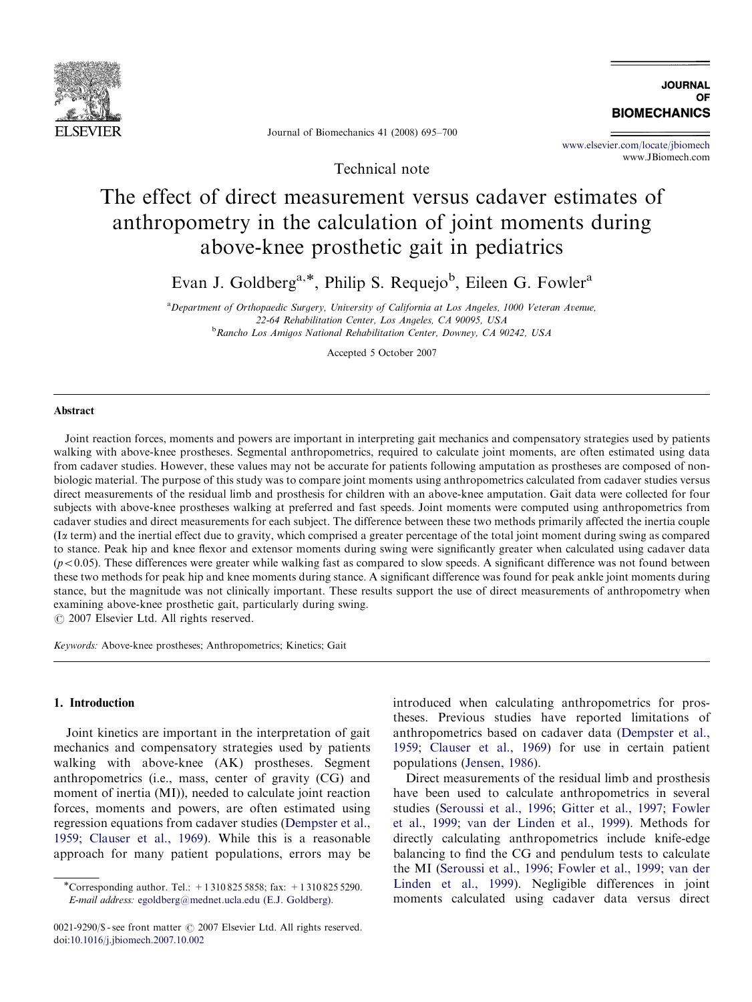

**IQURNAL** OF **BIOMECHANICS** 

Journal of Biomechanics 41 (2008) 695–700

Technical note

<www.elsevier.com/locate/jbiomech> www.JBiomech.com

# The effect of direct measurement versus cadaver estimates of anthropometry in the calculation of joint moments during above-knee prosthetic gait in pediatrics

Evan J. Goldberg<sup>a,\*</sup>, Philip S. Requejo<sup>b</sup>, Eileen G. Fowler<sup>a</sup>

<sup>a</sup> Department of Orthopaedic Surgery, University of California at Los Angeles, 1000 Veteran Avenue, 22-64 Rehabilitation Center, Los Angeles, CA 90095, USA <sup>b</sup>Rancho Los Amigos National Rehabilitation Center, Downey, CA 90242, USA

Accepted 5 October 2007

## Abstract

Joint reaction forces, moments and powers are important in interpreting gait mechanics and compensatory strategies used by patients walking with above-knee prostheses. Segmental anthropometrics, required to calculate joint moments, are often estimated using data from cadaver studies. However, these values may not be accurate for patients following amputation as prostheses are composed of nonbiologic material. The purpose of this study was to compare joint moments using anthropometrics calculated from cadaver studies versus direct measurements of the residual limb and prosthesis for children with an above-knee amputation. Gait data were collected for four subjects with above-knee prostheses walking at preferred and fast speeds. Joint moments were computed using anthropometrics from cadaver studies and direct measurements for each subject. The difference between these two methods primarily affected the inertia couple (I $\alpha$  term) and the inertial effect due to gravity, which comprised a greater percentage of the total joint moment during swing as compared to stance. Peak hip and knee flexor and extensor moments during swing were significantly greater when calculated using cadaver data  $(p<0.05)$ . These differences were greater while walking fast as compared to slow speeds. A significant difference was not found between these two methods for peak hip and knee moments during stance. A significant difference was found for peak ankle joint moments during stance, but the magnitude was not clinically important. These results support the use of direct measurements of anthropometry when examining above-knee prosthetic gait, particularly during swing.

 $C$  2007 Elsevier Ltd. All rights reserved.

Keywords: Above-knee prostheses; Anthropometrics; Kinetics; Gait

## 1. Introduction

Joint kinetics are important in the interpretation of gait mechanics and compensatory strategies used by patients walking with above-knee (AK) prostheses. Segment anthropometrics (i.e., mass, center of gravity (CG) and moment of inertia (MI)), needed to calculate joint reaction forces, moments and powers, are often estimated using regression equations from cadaver studies ([Dempster et al.,](#page-5-0) [1959](#page-5-0); [Clauser et al., 1969](#page-4-0)). While this is a reasonable approach for many patient populations, errors may be introduced when calculating anthropometrics for prostheses. Previous studies have reported limitations of anthropometrics based on cadaver data [\(Dempster et al.,](#page-5-0) [1959](#page-5-0); [Clauser et al., 1969](#page-4-0)) for use in certain patient populations ([Jensen, 1986\)](#page-5-0).

Direct measurements of the residual limb and prosthesis have been used to calculate anthropometrics in several studies [\(Seroussi et al., 1996;](#page-5-0) [Gitter et al., 1997](#page-5-0); [Fowler](#page-5-0) [et al., 1999](#page-5-0); [van der Linden et al., 1999\)](#page-5-0). Methods for directly calculating anthropometrics include knife-edge balancing to find the CG and pendulum tests to calculate the MI ([Seroussi et al., 1996;](#page-5-0) [Fowler et al., 1999;](#page-5-0) [van der](#page-5-0) [Linden et al., 1999](#page-5-0)). Negligible differences in joint moments calculated using cadaver data versus direct

<sup>\*</sup>Corresponding author. Tel.: +13108255858; fax: +13108255290. E-mail address: [egoldberg@mednet.ucla.edu \(E.J. Goldberg\).](mailto:egoldberg@mednet.ucla.edu)

 $0021-9290$ /\$ - see front matter  $\odot$  2007 Elsevier Ltd. All rights reserved. doi:[10.1016/j.jbiomech.2007.10.002](dx.doi.org/10.1016/j.jbiomech.2007.10.002)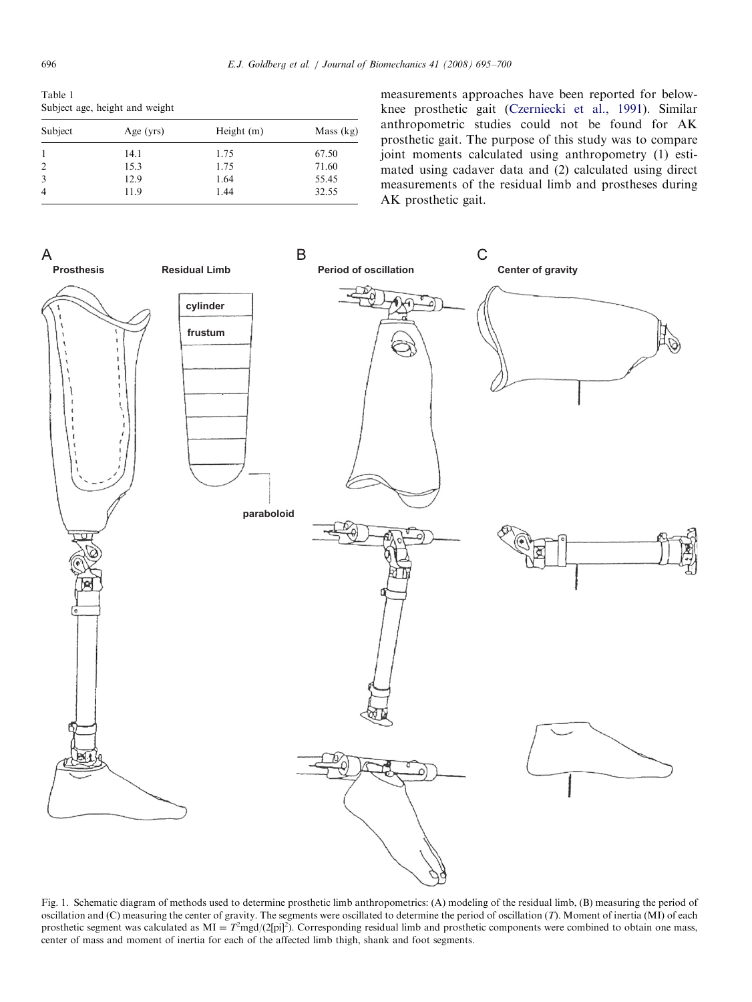<span id="page-1-0"></span>Table 1 Subject age, height and weight

| Subject        | Age $(yrs)$ | Height (m) | Mass (kg) |  |
|----------------|-------------|------------|-----------|--|
|                | 14.1        | 1.75       | 67.50     |  |
| 2              | 15.3        | 1.75       | 71.60     |  |
| 3              | 12.9        | 1.64       | 55.45     |  |
| $\overline{4}$ | 11.9        | 1.44       | 32.55     |  |
|                |             |            |           |  |

measurements approaches have been reported for belowknee prosthetic gait [\(Czerniecki et al., 1991](#page-4-0)). Similar anthropometric studies could not be found for AK prosthetic gait. The purpose of this study was to compare joint moments calculated using anthropometry (1) estimated using cadaver data and (2) calculated using direct measurements of the residual limb and prostheses during AK prosthetic gait.



Fig. 1. Schematic diagram of methods used to determine prosthetic limb anthropometrics: (A) modeling of the residual limb, (B) measuring the period of oscillation and (C) measuring the center of gravity. The segments were oscillated to determine the period of oscillation  $(T)$ . Moment of inertia (MI) of each prosthetic segment was calculated as  $MI = T<sup>2</sup>mgd/(2[pi]^2)$ . Corresponding residual limb and prosthetic components were combined to obtain one mass, center of mass and moment of inertia for each of the affected limb thigh, shank and foot segments.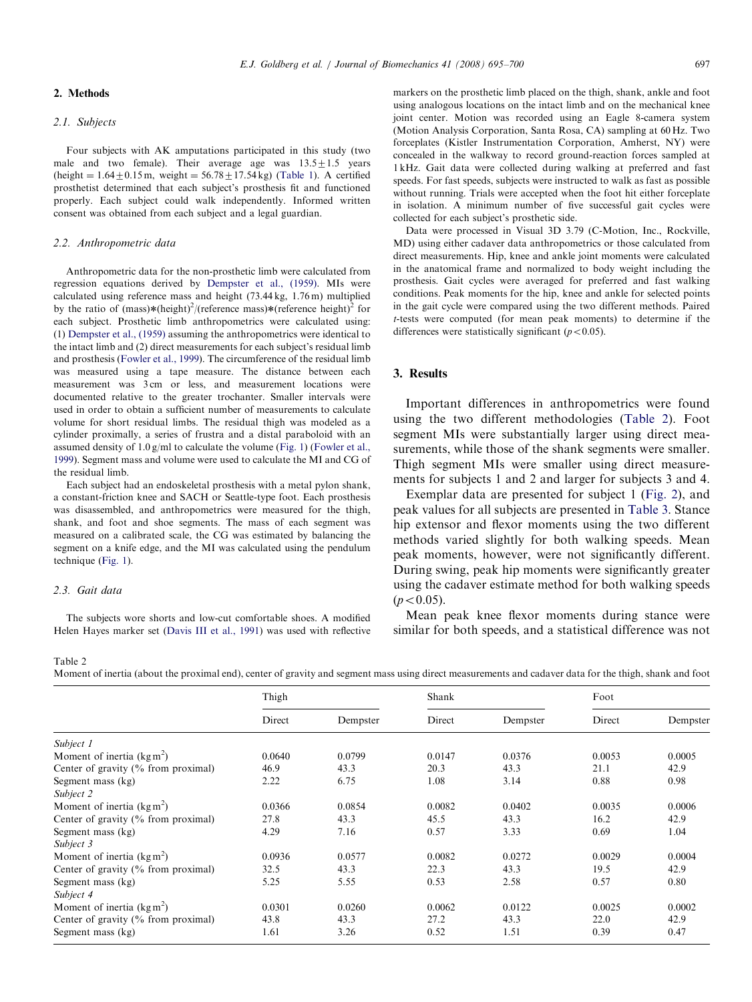## 2. Methods

### 2.1. Subjects

Four subjects with AK amputations participated in this study (two male and two female). Their average age was  $13.5 \pm 1.5$  years  $(height = 1.64 \pm 0.15 \text{ m}, weight = 56.78 \pm 17.54 \text{ kg})$  ([Table 1](#page-1-0)). A certified prosthetist determined that each subject's prosthesis fit and functioned properly. Each subject could walk independently. Informed written consent was obtained from each subject and a legal guardian.

#### 2.2. Anthropometric data

Anthropometric data for the non-prosthetic limb were calculated from regression equations derived by [Dempster et al., \(1959\)](#page-5-0). MIs were calculated using reference mass and height (73.44 kg, 1.76 m) multiplied by the ratio of  $(mass)*(height)^2/(reference\ mass)*(reference\ height)^2$  for each subject. Prosthetic limb anthropometrics were calculated using: (1) [Dempster et al., \(1959\)](#page-5-0) assuming the anthropometrics were identical to the intact limb and (2) direct measurements for each subject's residual limb and prosthesis [\(Fowler et al., 1999\)](#page-5-0). The circumference of the residual limb was measured using a tape measure. The distance between each measurement was 3 cm or less, and measurement locations were documented relative to the greater trochanter. Smaller intervals were used in order to obtain a sufficient number of measurements to calculate volume for short residual limbs. The residual thigh was modeled as a cylinder proximally, a series of frustra and a distal paraboloid with an assumed density of 1.0 g/ml to calculate the volume [\(Fig. 1](#page-1-0)) ([Fowler et al.,](#page-5-0) [1999](#page-5-0)). Segment mass and volume were used to calculate the MI and CG of the residual limb.

Each subject had an endoskeletal prosthesis with a metal pylon shank, a constant-friction knee and SACH or Seattle-type foot. Each prosthesis was disassembled, and anthropometrics were measured for the thigh, shank, and foot and shoe segments. The mass of each segment was measured on a calibrated scale, the CG was estimated by balancing the segment on a knife edge, and the MI was calculated using the pendulum technique ([Fig. 1\)](#page-1-0).

#### 2.3. Gait data

The subjects wore shorts and low-cut comfortable shoes. A modified Helen Hayes marker set [\(Davis III et al., 1991\)](#page-5-0) was used with reflective markers on the prosthetic limb placed on the thigh, shank, ankle and foot using analogous locations on the intact limb and on the mechanical knee joint center. Motion was recorded using an Eagle 8-camera system (Motion Analysis Corporation, Santa Rosa, CA) sampling at 60 Hz. Two forceplates (Kistler Instrumentation Corporation, Amherst, NY) were concealed in the walkway to record ground-reaction forces sampled at 1 kHz. Gait data were collected during walking at preferred and fast speeds. For fast speeds, subjects were instructed to walk as fast as possible without running. Trials were accepted when the foot hit either forceplate in isolation. A minimum number of five successful gait cycles were collected for each subject's prosthetic side.

Data were processed in Visual 3D 3.79 (C-Motion, Inc., Rockville, MD) using either cadaver data anthropometrics or those calculated from direct measurements. Hip, knee and ankle joint moments were calculated in the anatomical frame and normalized to body weight including the prosthesis. Gait cycles were averaged for preferred and fast walking conditions. Peak moments for the hip, knee and ankle for selected points in the gait cycle were compared using the two different methods. Paired t-tests were computed (for mean peak moments) to determine if the differences were statistically significant ( $p < 0.05$ ).

#### 3. Results

Important differences in anthropometrics were found using the two different methodologies (Table 2). Foot segment MIs were substantially larger using direct measurements, while those of the shank segments were smaller. Thigh segment MIs were smaller using direct measurements for subjects 1 and 2 and larger for subjects 3 and 4.

Exemplar data are presented for subject 1 [\(Fig. 2\)](#page-3-0), and peak values for all subjects are presented in [Table 3](#page-4-0). Stance hip extensor and flexor moments using the two different methods varied slightly for both walking speeds. Mean peak moments, however, were not significantly different. During swing, peak hip moments were significantly greater using the cadaver estimate method for both walking speeds  $(p<0.05)$ .

Mean peak knee flexor moments during stance were similar for both speeds, and a statistical difference was not

#### Table 2

Moment of inertia (about the proximal end), center of gravity and segment mass using direct measurements and cadaver data for the thigh, shank and foot

|                                        | Thigh  |          | Shank  |          | Foot   |          |
|----------------------------------------|--------|----------|--------|----------|--------|----------|
|                                        | Direct | Dempster | Direct | Dempster | Direct | Dempster |
| Subject 1                              |        |          |        |          |        |          |
| Moment of inertia $(kgm^2)$            | 0.0640 | 0.0799   | 0.0147 | 0.0376   | 0.0053 | 0.0005   |
| Center of gravity $(\%$ from proximal) | 46.9   | 43.3     | 20.3   | 43.3     | 21.1   | 42.9     |
| Segment mass (kg)                      | 2.22   | 6.75     | 1.08   | 3.14     | 0.88   | 0.98     |
| Subject 2                              |        |          |        |          |        |          |
| Moment of inertia $(\text{kg m}^2)$    | 0.0366 | 0.0854   | 0.0082 | 0.0402   | 0.0035 | 0.0006   |
| Center of gravity $(\%$ from proximal) | 27.8   | 43.3     | 45.5   | 43.3     | 16.2   | 42.9     |
| Segment mass (kg)                      | 4.29   | 7.16     | 0.57   | 3.33     | 0.69   | 1.04     |
| Subject 3                              |        |          |        |          |        |          |
| Moment of inertia $(\text{kg m}^2)$    | 0.0936 | 0.0577   | 0.0082 | 0.0272   | 0.0029 | 0.0004   |
| Center of gravity $(\%$ from proximal) | 32.5   | 43.3     | 22.3   | 43.3     | 19.5   | 42.9     |
| Segment mass (kg)                      | 5.25   | 5.55     | 0.53   | 2.58     | 0.57   | 0.80     |
| Subject 4                              |        |          |        |          |        |          |
| Moment of inertia $(\text{kg m}^2)$    | 0.0301 | 0.0260   | 0.0062 | 0.0122   | 0.0025 | 0.0002   |
| Center of gravity $(\%$ from proximal) | 43.8   | 43.3     | 27.2   | 43.3     | 22.0   | 42.9     |
| Segment mass (kg)                      | 1.61   | 3.26     | 0.52   | 1.51     | 0.39   | 0.47     |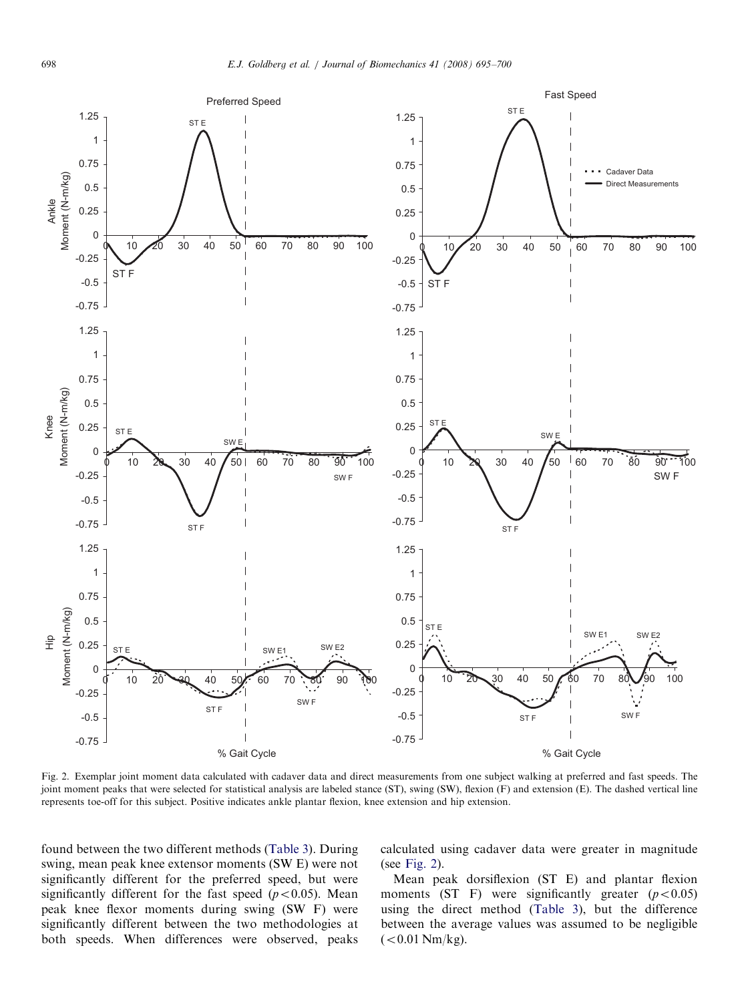<span id="page-3-0"></span>

Fig. 2. Exemplar joint moment data calculated with cadaver data and direct measurements from one subject walking at preferred and fast speeds. The joint moment peaks that were selected for statistical analysis are labeled stance (ST), swing (SW), flexion (F) and extension (E). The dashed vertical line represents toe-off for this subject. Positive indicates ankle plantar flexion, knee extension and hip extension.

found between the two different methods ([Table 3](#page-4-0)). During swing, mean peak knee extensor moments (SW E) were not significantly different for the preferred speed, but were significantly different for the fast speed  $(p<0.05)$ . Mean peak knee flexor moments during swing (SW F) were significantly different between the two methodologies at both speeds. When differences were observed, peaks calculated using cadaver data were greater in magnitude (see Fig. 2).

Mean peak dorsiflexion (ST E) and plantar flexion moments (ST F) were significantly greater  $(p<0.05)$ using the direct method ([Table 3](#page-4-0)), but the difference between the average values was assumed to be negligible  $(< 0.01$  Nm/kg).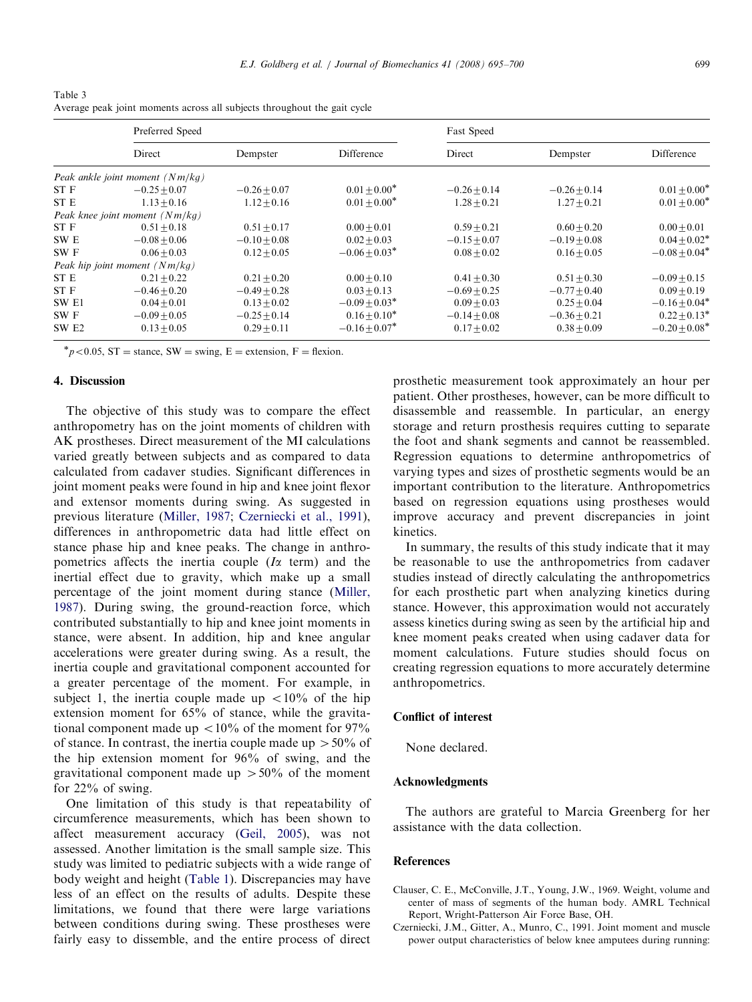<span id="page-4-0"></span>Table 3 Average peak joint moments across all subjects throughout the gait cycle

|                  | Preferred Speed                   |                |                  | Fast Speed     |                |                               |
|------------------|-----------------------------------|----------------|------------------|----------------|----------------|-------------------------------|
|                  | Direct                            | Dempster       | Difference       | Direct         | Dempster       | Difference                    |
|                  | Peak ankle joint moment $(Nm/kg)$ |                |                  |                |                |                               |
| ST F             | $-0.25 + 0.07$                    | $-0.26 + 0.07$ | $0.01 + 0.00^*$  | $-0.26 + 0.14$ | $-0.26 + 0.14$ | $0.01 \pm 0.00^*$             |
| ST E             | $1.13 + 0.16$                     | $1.12 + 0.16$  | $0.01 + 0.00*$   | $1.28 + 0.21$  | $1.27 + 0.21$  | $0.01 \pm 0.00^*$             |
|                  | Peak knee joint moment $(Nm/kg)$  |                |                  |                |                |                               |
| ST F             | $0.51 + 0.18$                     | $0.51 + 0.17$  | $0.00 + 0.01$    | $0.59 + 0.21$  | $0.60 + 0.20$  | $0.00 + 0.01$                 |
| SW E             | $-0.08 + 0.06$                    | $-0.10 + 0.08$ | $0.02 + 0.03$    | $-0.15 + 0.07$ | $-0.19 + 0.08$ | $0.04 \pm 0.02^*$             |
| SW F             | $0.06 + 0.03$                     | $0.12 + 0.05$  | $-0.06 + 0.03*$  | $0.08 + 0.02$  | $0.16 + 0.05$  | $-0.08 + 0.04*$               |
|                  | Peak hip joint moment $(Nm/kg)$   |                |                  |                |                |                               |
| ST E             | $0.21 + 0.22$                     | $0.21 + 0.20$  | $0.00 + 0.10$    | $0.41 + 0.30$  | $0.51 + 0.30$  | $-0.09 + 0.15$                |
| ST F             | $-0.46 + 0.20$                    | $-0.49 + 0.28$ | $0.03 + 0.13$    | $-0.69 + 0.25$ | $-0.77 + 0.40$ | $0.09 \pm 0.19$               |
| SW <sub>E1</sub> | $0.04 + 0.01$                     | $0.13 + 0.02$  | $-0.09 + 0.03^*$ | $0.09 + 0.03$  | $0.25 + 0.04$  | $-0.16 \pm 0.04$ <sup>*</sup> |
| SW F             | $-0.09 + 0.05$                    | $-0.25 + 0.14$ | $0.16 + 0.10^*$  | $-0.14 + 0.08$ | $-0.36 + 0.21$ | $0.22 + 0.13^*$               |
| SW <sub>E2</sub> | $0.13 + 0.05$                     | $0.29 + 0.11$  | $-0.16 + 0.07^*$ | $0.17 + 0.02$  | $0.38 + 0.09$  | $-0.20 + 0.08^*$              |

 $p < 0.05$ , ST = stance, SW = swing, E = extension, F = flexion.

## 4. Discussion

The objective of this study was to compare the effect anthropometry has on the joint moments of children with AK prostheses. Direct measurement of the MI calculations varied greatly between subjects and as compared to data calculated from cadaver studies. Significant differences in joint moment peaks were found in hip and knee joint flexor and extensor moments during swing. As suggested in previous literature [\(Miller, 1987](#page-5-0); Czerniecki et al., 1991), differences in anthropometric data had little effect on stance phase hip and knee peaks. The change in anthropometrics affects the inertia couple  $(I\alpha$  term) and the inertial effect due to gravity, which make up a small percentage of the joint moment during stance ([Miller,](#page-5-0) [1987](#page-5-0)). During swing, the ground-reaction force, which contributed substantially to hip and knee joint moments in stance, were absent. In addition, hip and knee angular accelerations were greater during swing. As a result, the inertia couple and gravitational component accounted for a greater percentage of the moment. For example, in subject 1, the inertia couple made up  $\langle 10\% \rangle$  of the hip extension moment for 65% of stance, while the gravitational component made up  $\langle 10\%$  of the moment for 97% of stance. In contrast, the inertia couple made up  $> 50\%$  of the hip extension moment for 96% of swing, and the gravitational component made up  $> 50\%$  of the moment for 22% of swing.

One limitation of this study is that repeatability of circumference measurements, which has been shown to affect measurement accuracy [\(Geil, 2005\)](#page-5-0), was not assessed. Another limitation is the small sample size. This study was limited to pediatric subjects with a wide range of body weight and height ([Table 1\)](#page-1-0). Discrepancies may have less of an effect on the results of adults. Despite these limitations, we found that there were large variations between conditions during swing. These prostheses were fairly easy to dissemble, and the entire process of direct

prosthetic measurement took approximately an hour per patient. Other prostheses, however, can be more difficult to disassemble and reassemble. In particular, an energy storage and return prosthesis requires cutting to separate the foot and shank segments and cannot be reassembled. Regression equations to determine anthropometrics of varying types and sizes of prosthetic segments would be an important contribution to the literature. Anthropometrics based on regression equations using prostheses would improve accuracy and prevent discrepancies in joint kinetics.

In summary, the results of this study indicate that it may be reasonable to use the anthropometrics from cadaver studies instead of directly calculating the anthropometrics for each prosthetic part when analyzing kinetics during stance. However, this approximation would not accurately assess kinetics during swing as seen by the artificial hip and knee moment peaks created when using cadaver data for moment calculations. Future studies should focus on creating regression equations to more accurately determine anthropometrics.

## Conflict of interest

None declared.

## Acknowledgments

The authors are grateful to Marcia Greenberg for her assistance with the data collection.

## References

- Clauser, C. E., McConville, J.T., Young, J.W., 1969. Weight, volume and center of mass of segments of the human body. AMRL Technical Report, Wright-Patterson Air Force Base, OH.
- Czerniecki, J.M., Gitter, A., Munro, C., 1991. Joint moment and muscle power output characteristics of below knee amputees during running: